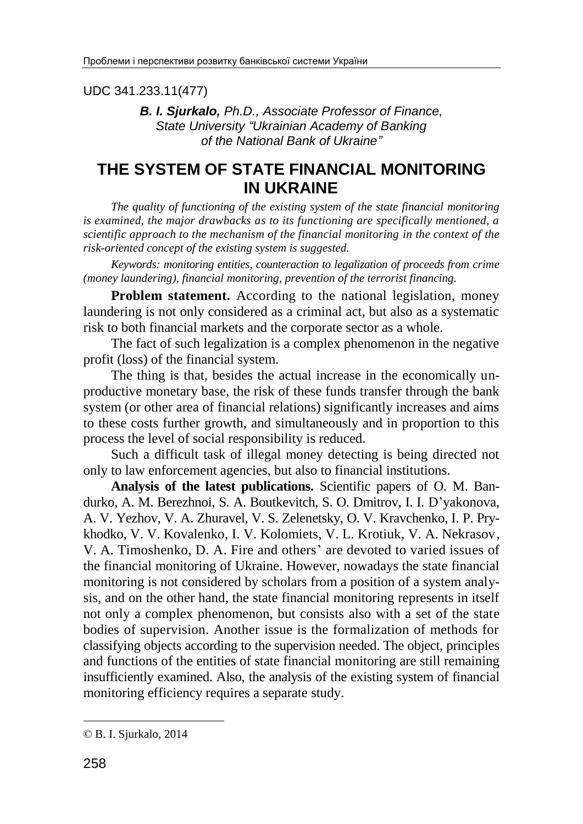UDC 341.233.11(477)

*B. I. Sjurkalo, Ph.D., Associate Professor of Finance, State University "Ukrainian Academy of Banking of the National Bank of Ukraine"*

# **THE SYSTEM OF STATE FINANCIAL MONITORING IN UKRAINE**

*The quality of functioning of the existing system of the state financial monitoring is examined, the major drawbacks as to its functioning are specifically mentioned, a scientific approach to the mechanism of the financial monitoring in the context of the risk-oriented concept of the existing system is suggested.*

*Keywords: monitoring entities, counteraction to legalization of proceeds from crime (money laundering), financial monitoring, prevention of the terrorist financing.*

**Problem statement.** According to the national legislation, money laundering is not only considered as a criminal act, but also as a systematic risk to both financial markets and the corporate sector as a whole.

The fact of such legalization is a complex phenomenon in the negative profit (loss) of the financial system.

The thing is that, besides the actual increase in the economically unproductive monetary base, the risk of these funds transfer through the bank system (or other area of financial relations) significantly increases and aims to these costs further growth, and simultaneously and in proportion to this process the level of social responsibility is reduced.

Such a difficult task of illegal money detecting is being directed not only to law enforcement agencies, but also to financial institutions.

**Analysis of the latest publications.** Scientific papers of O. M. Bandurko, A. M. Berezhnoi, S. A. Boutkevitch, S. O. Dmitrov, I. I. D'yakonova, A. V. Yezhov, V. A. Zhuravel, V. S. Zelenetsky, O. V. Kravchenko, I. P. Prykhodko, V. V. Kovalenko, I. V. Kolomiets, V. L. Krotiuk, V. A. Nekrasov, V. A. Timoshenko, D. A. Fire and others' are devoted to varied issues of the financial monitoring of Ukraine. However, nowadays the state financial monitoring is not considered by scholars from a position of a system analysis, and on the other hand, the state financial monitoring represents in itself not only a complex phenomenon, but consists also with a set of the state bodies of supervision. Another issue is the formalization of methods for classifying objects according to the supervision needed. The object, principles and functions of the entities of state financial monitoring are still remaining insufficiently examined. Also, the analysis of the existing system of financial monitoring efficiency requires a separate study.

-

<sup>©</sup> B. I. Sjurkalo, 2014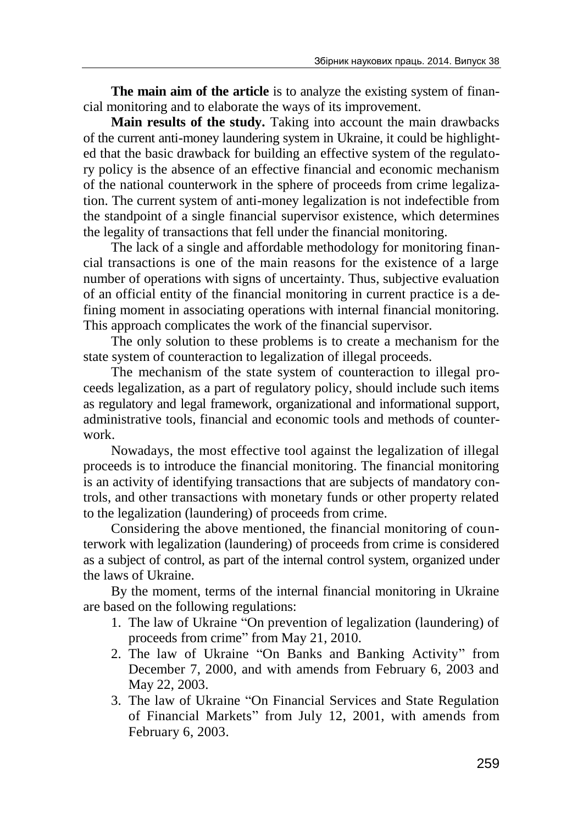**The main aim of the article** is to analyze the existing system of financial monitoring and to elaborate the ways of its improvement.

**Main results of the study.** Taking into account the main drawbacks of the current anti-money laundering system in Ukraine, it could be highlighted that the basic drawback for building an effective system of the regulatory policy is the absence of an effective financial and economic mechanism of the national counterwork in the sphere of proceeds from crime legalization. The current system of anti-money legalization is not indefectible from the standpoint of a single financial supervisor existence, which determines the legality of transactions that fell under the financial monitoring.

The lack of a single and affordable methodology for monitoring financial transactions is one of the main reasons for the existence of a large number of operations with signs of uncertainty. Thus, subjective evaluation of an official entity of the financial monitoring in current practice is a defining moment in associating operations with internal financial monitoring. This approach complicates the work of the financial supervisor.

The only solution to these problems is to create a mechanism for the state system of counteraction to legalization of illegal proceeds.

The mechanism of the state system of counteraction to illegal proceeds legalization, as a part of regulatory policy, should include such items as regulatory and legal framework, organizational and informational support, administrative tools, financial and economic tools and methods of counterwork.

Nowadays, the most effective tool against the legalization of illegal proceeds is to introduce the financial monitoring. The financial monitoring is an activity of identifying transactions that are subjects of mandatory controls, and other transactions with monetary funds or other property related to the legalization (laundering) of proceeds from crime.

Considering the above mentioned, the financial monitoring of counterwork with legalization (laundering) of proceeds from crime is considered as a subject of control, as part of the internal control system, organized under the laws of Ukraine.

By the moment, terms of the internal financial monitoring in Ukraine are based on the following regulations:

- 1. The law of Ukraine "On prevention of legalization (laundering) of proceeds from crime" from May 21, 2010.
- 2. The law of Ukraine "On Banks and Banking Activity" from December 7, 2000, and with amends from February 6, 2003 and May 22, 2003.
- 3. The law of Ukraine "On Financial Services and State Regulation of Financial Markets" from July 12, 2001, with amends from February 6, 2003.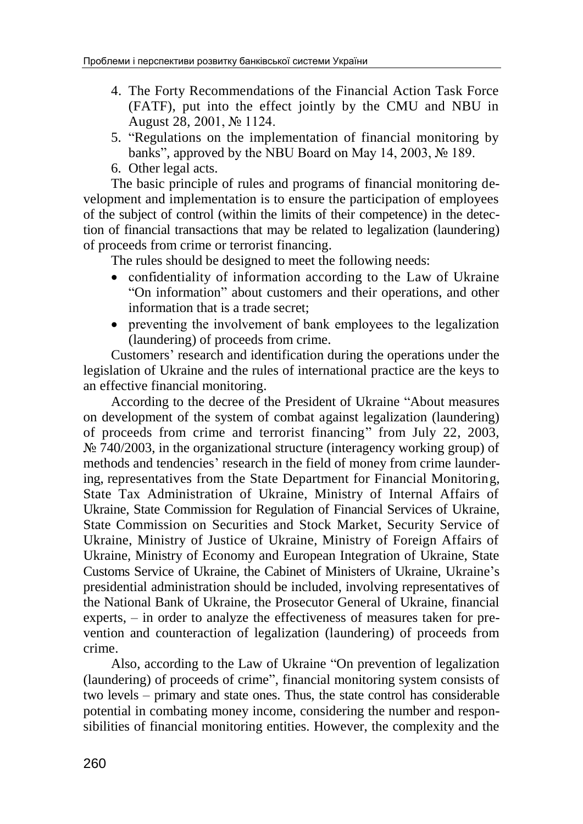- 4. The Forty Recommendations of the Financial Action Task Force (FATF), put into the effect jointly by the CMU and NBU in August 28, 2001, № 1124.
- 5. "Regulations on the implementation of financial monitoring by banks", approved by the NBU Board on May 14, 2003, № 189.
- 6. Other legal acts.

The basic principle of rules and programs of financial monitoring development and implementation is to ensure the participation of employees of the subject of control (within the limits of their competence) in the detection of financial transactions that may be related to legalization (laundering) of proceeds from crime or terrorist financing.

The rules should be designed to meet the following needs:

- confidentiality of information according to the Law of Ukraine "On information" about customers and their operations, and other information that is a trade secret;
- preventing the involvement of bank employees to the legalization (laundering) of proceeds from crime.

Customers' research and identification during the operations under the legislation of Ukraine and the rules of international practice are the keys to an effective financial monitoring.

According to the decree of the President of Ukraine "About measures on development of the system of combat against legalization (laundering) of proceeds from crime and terrorist financing" from July 22, 2003,  $\mathbb{N}^{\circ}$  740/2003, in the organizational structure (interagency working group) of methods and tendencies' research in the field of money from crime laundering, representatives from the State Department for Financial Monitoring, State Tax Administration of Ukraine, Ministry of Internal Affairs of Ukraine, State Commission for Regulation of Financial Services of Ukraine, State Commission on Securities and Stock Market, Security Service of Ukraine, Ministry of Justice of Ukraine, Ministry of Foreign Affairs of Ukraine, Ministry of Economy and European Integration of Ukraine, State Customs Service of Ukraine, the Cabinet of Ministers of Ukraine, Ukraine's presidential administration should be included, involving representatives of the National Bank of Ukraine, the Prosecutor General of Ukraine, financial experts, – in order to analyze the effectiveness of measures taken for prevention and counteraction of legalization (laundering) of proceeds from crime.

Also, according to the Law of Ukraine "On prevention of legalization (laundering) of proceeds of crime", financial monitoring system consists of two levels – primary and state ones. Thus, the state control has considerable potential in combating money income, considering the number and responsibilities of financial monitoring entities. However, the complexity and the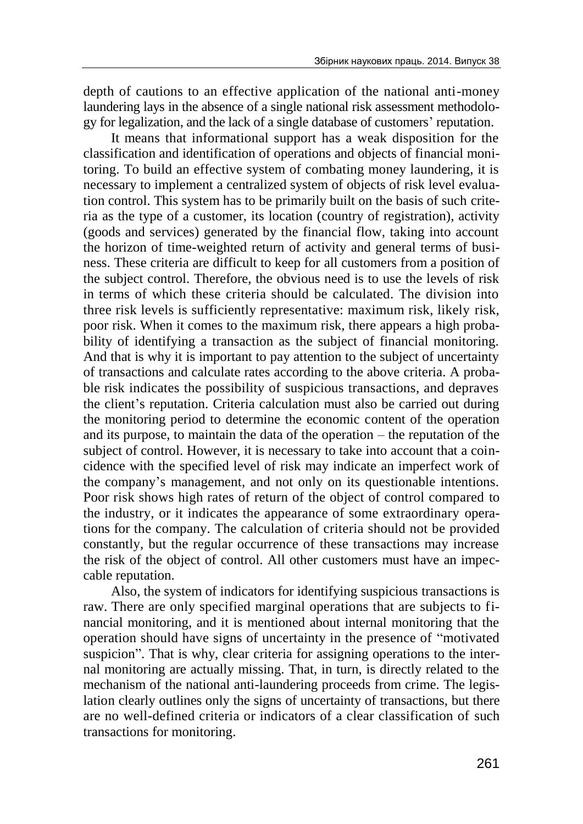depth of cautions to an effective application of the national anti-money laundering lays in the absence of a single national risk assessment methodology for legalization, and the lack of a single database of customers' reputation.

It means that informational support has a weak disposition for the classification and identification of operations and objects of financial monitoring. To build an effective system of combating money laundering, it is necessary to implement a centralized system of objects of risk level evaluation control. This system has to be primarily built on the basis of such criteria as the type of a customer, its location (country of registration), activity (goods and services) generated by the financial flow, taking into account the horizon of time-weighted return of activity and general terms of business. These criteria are difficult to keep for all customers from a position of the subject control. Therefore, the obvious need is to use the levels of risk in terms of which these criteria should be calculated. The division into three risk levels is sufficiently representative: maximum risk, likely risk, poor risk. When it comes to the maximum risk, there appears a high probability of identifying a transaction as the subject of financial monitoring. And that is why it is important to pay attention to the subject of uncertainty of transactions and calculate rates according to the above criteria. A probable risk indicates the possibility of suspicious transactions, and depraves the client's reputation. Criteria calculation must also be carried out during the monitoring period to determine the economic content of the operation and its purpose, to maintain the data of the operation – the reputation of the subject of control. However, it is necessary to take into account that a coincidence with the specified level of risk may indicate an imperfect work of the company's management, and not only on its questionable intentions. Poor risk shows high rates of return of the object of control compared to the industry, or it indicates the appearance of some extraordinary operations for the company. The calculation of criteria should not be provided constantly, but the regular occurrence of these transactions may increase the risk of the object of control. All other customers must have an impeccable reputation.

Also, the system of indicators for identifying suspicious transactions is raw. There are only specified marginal operations that are subjects to financial monitoring, and it is mentioned about internal monitoring that the operation should have signs of uncertainty in the presence of "motivated suspicion". That is why, clear criteria for assigning operations to the internal monitoring are actually missing. That, in turn, is directly related to the mechanism of the national anti-laundering proceeds from crime. The legislation clearly outlines only the signs of uncertainty of transactions, but there are no well-defined criteria or indicators of a clear classification of such transactions for monitoring.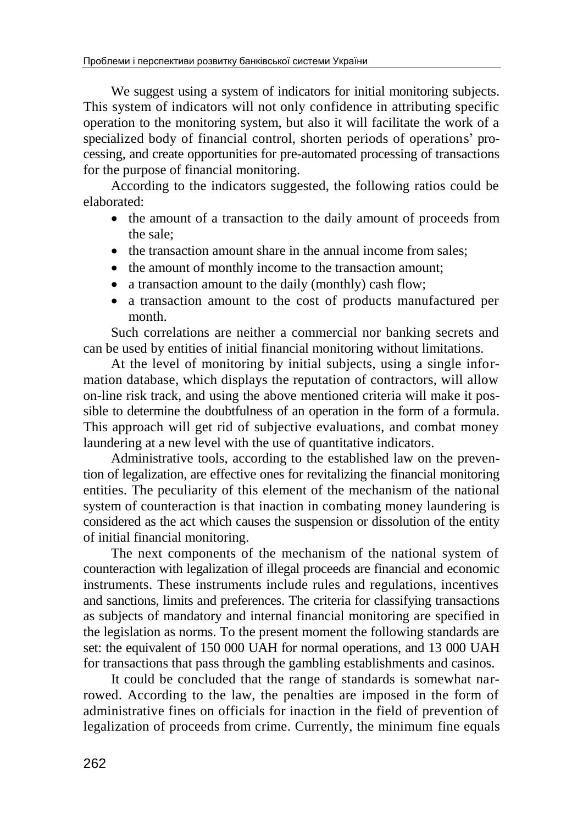We suggest using a system of indicators for initial monitoring subjects. This system of indicators will not only confidence in attributing specific operation to the monitoring system, but also it will facilitate the work of a specialized body of financial control, shorten periods of operations' processing, and create opportunities for pre-automated processing of transactions for the purpose of financial monitoring.

According to the indicators suggested, the following ratios could be elaborated:

- the amount of a transaction to the daily amount of proceeds from the sale;
- the transaction amount share in the annual income from sales;
- the amount of monthly income to the transaction amount;
- a transaction amount to the daily (monthly) cash flow;
- a transaction amount to the cost of products manufactured per month.

Such correlations are neither a commercial nor banking secrets and can be used by entities of initial financial monitoring without limitations.

At the level of monitoring by initial subjects, using a single information database, which displays the reputation of contractors, will allow on-line risk track, and using the above mentioned criteria will make it possible to determine the doubtfulness of an operation in the form of a formula. This approach will get rid of subjective evaluations, and combat money laundering at a new level with the use of quantitative indicators.

Administrative tools, according to the established law on the prevention of legalization, are effective ones for revitalizing the financial monitoring entities. The peculiarity of this element of the mechanism of the national system of counteraction is that inaction in combating money laundering is considered as the act which causes the suspension or dissolution of the entity of initial financial monitoring.

The next components of the mechanism of the national system of counteraction with legalization of illegal proceeds are financial and economic instruments. These instruments include rules and regulations, incentives and sanctions, limits and preferences. The criteria for classifying transactions as subjects of mandatory and internal financial monitoring are specified in the legislation as norms. To the present moment the following standards are set: the equivalent of 150 000 UAH for normal operations, and 13 000 UAH for transactions that pass through the gambling establishments and casinos.

It could be concluded that the range of standards is somewhat narrowed. According to the law, the penalties are imposed in the form of administrative fines on officials for inaction in the field of prevention of legalization of proceeds from crime. Currently, the minimum fine equals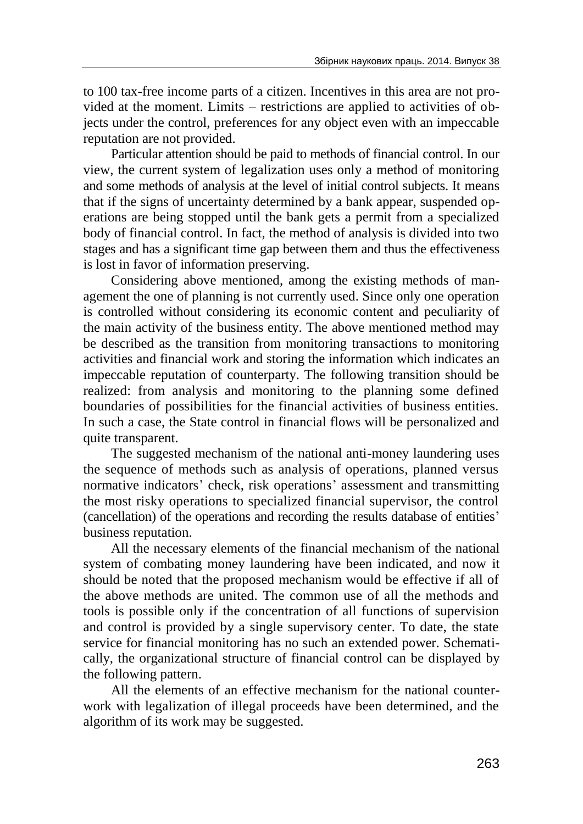to 100 tax-free income parts of a citizen. Incentives in this area are not provided at the moment. Limits – restrictions are applied to activities of objects under the control, preferences for any object even with an impeccable reputation are not provided.

Particular attention should be paid to methods of financial control. In our view, the current system of legalization uses only a method of monitoring and some methods of analysis at the level of initial control subjects. It means that if the signs of uncertainty determined by a bank appear, suspended operations are being stopped until the bank gets a permit from a specialized body of financial control. In fact, the method of analysis is divided into two stages and has a significant time gap between them and thus the effectiveness is lost in favor of information preserving.

Considering above mentioned, among the existing methods of management the one of planning is not currently used. Since only one operation is controlled without considering its economic content and peculiarity of the main activity of the business entity. The above mentioned method may be described as the transition from monitoring transactions to monitoring activities and financial work and storing the information which indicates an impeccable reputation of counterparty. The following transition should be realized: from analysis and monitoring to the planning some defined boundaries of possibilities for the financial activities of business entities. In such a case, the State control in financial flows will be personalized and quite transparent.

The suggested mechanism of the national anti-money laundering uses the sequence of methods such as analysis of operations, planned versus normative indicators' check, risk operations' assessment and transmitting the most risky operations to specialized financial supervisor, the control (cancellation) of the operations and recording the results database of entities' business reputation.

All the necessary elements of the financial mechanism of the national system of combating money laundering have been indicated, and now it should be noted that the proposed mechanism would be effective if all of the above methods are united. The common use of all the methods and tools is possible only if the concentration of all functions of supervision and control is provided by a single supervisory center. To date, the state service for financial monitoring has no such an extended power. Schematically, the organizational structure of financial control can be displayed by the following pattern.

All the elements of an effective mechanism for the national counterwork with legalization of illegal proceeds have been determined, and the algorithm of its work may be suggested.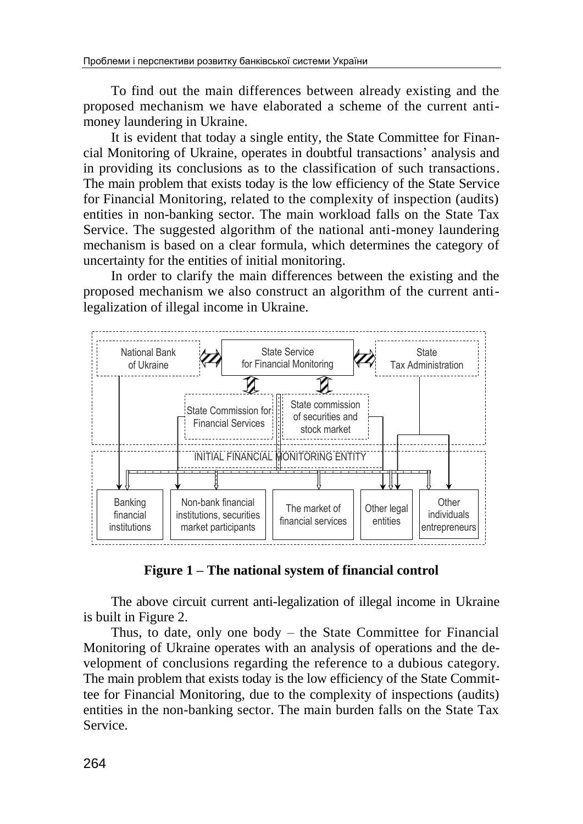To find out the main differences between already existing and the proposed mechanism we have elaborated a scheme of the current antimoney laundering in Ukraine.

It is evident that today a single entity, the State Committee for Financial Monitoring of Ukraine, operates in doubtful transactions' analysis and in providing its conclusions as to the classification of such transactions. The main problem that exists today is the low efficiency of the State Service for Financial Monitoring, related to the complexity of inspection (audits) entities in non-banking sector. The main workload falls on the State Tax Service. The suggested algorithm of the national anti-money laundering mechanism is based on a clear formula, which determines the category of uncertainty for the entities of initial monitoring.

In order to clarify the main differences between the existing and the proposed mechanism we also construct an algorithm of the current antilegalization of illegal income in Ukraine.



**Figure 1 – The national system of financial control**

The above circuit current anti-legalization of illegal income in Ukraine is built in Figure 2.

Thus, to date, only one body  $-$  the State Committee for Financial Monitoring of Ukraine operates with an analysis of operations and the development of conclusions regarding the reference to a dubious category. The main problem that exists today is the low efficiency of the State Committee for Financial Monitoring, due to the complexity of inspections (audits) entities in the non-banking sector. The main burden falls on the State Tax Service.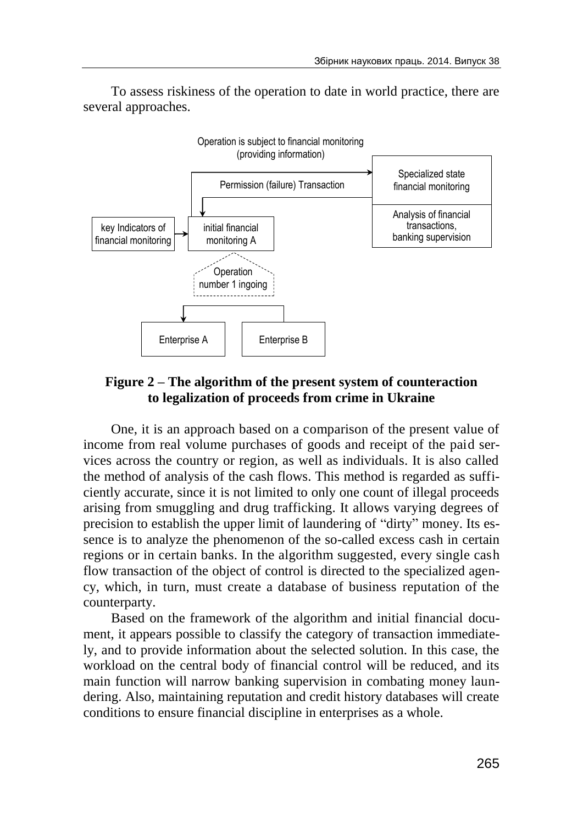To assess riskiness of the operation to date in world practice, there are several approaches.



## **Figure 2 – The algorithm of the present system of counteraction to legalization of proceeds from crime in Ukraine**

One, it is an approach based on a comparison of the present value of income from real volume purchases of goods and receipt of the paid services across the country or region, as well as individuals. It is also called the method of analysis of the cash flows. This method is regarded as sufficiently accurate, since it is not limited to only one count of illegal proceeds arising from smuggling and drug trafficking. It allows varying degrees of precision to establish the upper limit of laundering of "dirty" money. Its essence is to analyze the phenomenon of the so-called excess cash in certain regions or in certain banks. In the algorithm suggested, every single cash flow transaction of the object of control is directed to the specialized agency, which, in turn, must create a database of business reputation of the counterparty.

Based on the framework of the algorithm and initial financial document, it appears possible to classify the category of transaction immediately, and to provide information about the selected solution. In this case, the workload on the central body of financial control will be reduced, and its main function will narrow banking supervision in combating money laundering. Also, maintaining reputation and credit history databases will create conditions to ensure financial discipline in enterprises as a whole.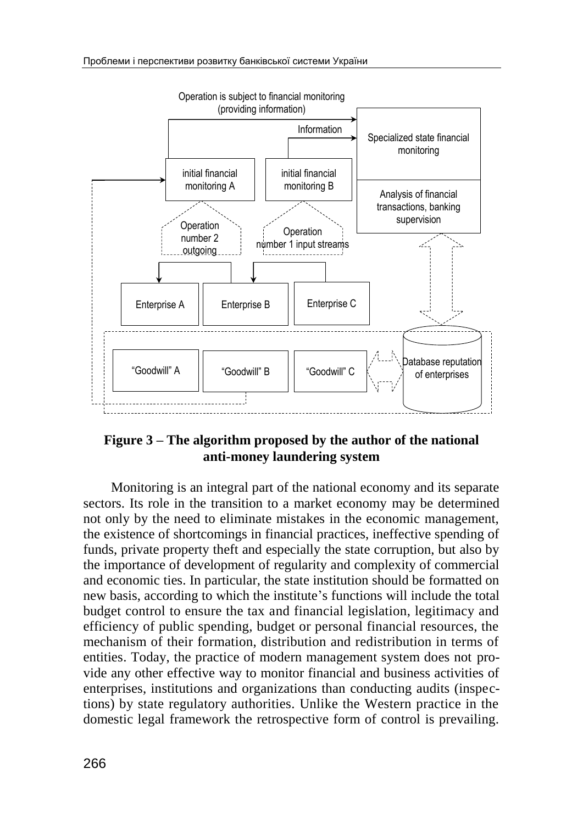

## **Figure 3 – The algorithm proposed by the author of the national anti-money laundering system**

Monitoring is an integral part of the national economy and its separate sectors. Its role in the transition to a market economy may be determined not only by the need to eliminate mistakes in the economic management, the existence of shortcomings in financial practices, ineffective spending of funds, private property theft and especially the state corruption, but also by the importance of development of regularity and complexity of commercial and economic ties. In particular, the state institution should be formatted on new basis, according to which the institute's functions will include the total budget control to ensure the tax and financial legislation, legitimacy and efficiency of public spending, budget or personal financial resources, the mechanism of their formation, distribution and redistribution in terms of entities. Today, the practice of modern management system does not provide any other effective way to monitor financial and business activities of enterprises, institutions and organizations than conducting audits (inspections) by state regulatory authorities. Unlike the Western practice in the domestic legal framework the retrospective form of control is prevailing.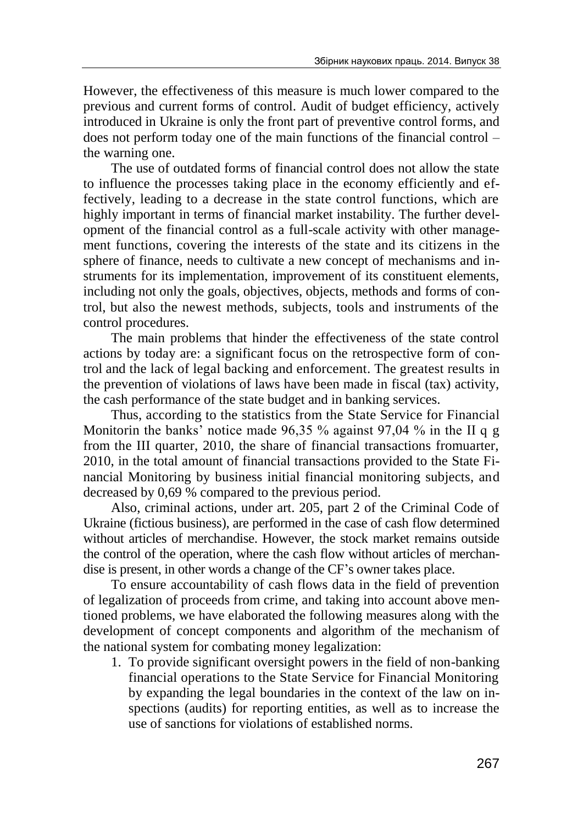However, the effectiveness of this measure is much lower compared to the previous and current forms of control. Audit of budget efficiency, actively introduced in Ukraine is only the front part of preventive control forms, and does not perform today one of the main functions of the financial control – the warning one.

The use of outdated forms of financial control does not allow the state to influence the processes taking place in the economy efficiently and effectively, leading to a decrease in the state control functions, which are highly important in terms of financial market instability. The further development of the financial control as a full-scale activity with other management functions, covering the interests of the state and its citizens in the sphere of finance, needs to cultivate a new concept of mechanisms and instruments for its implementation, improvement of its constituent elements, including not only the goals, objectives, objects, methods and forms of control, but also the newest methods, subjects, tools and instruments of the control procedures.

The main problems that hinder the effectiveness of the state control actions by today are: a significant focus on the retrospective form of control and the lack of legal backing and enforcement. The greatest results in the prevention of violations of laws have been made in fiscal (tax) activity, the cash performance of the state budget and in banking services.

Thus, according to the statistics from the State Service for Financial Monitorin the banks' notice made 96,35 % against 97,04 % in the II q g from the III quarter, 2010, the share of financial transactions fromuarter, 2010, in the total amount of financial transactions provided to the State Financial Monitoring by business initial financial monitoring subjects, and decreased by 0,69 % compared to the previous period.

Also, criminal actions, under art. 205, part 2 of the Criminal Code of Ukraine (fictious business), are performed in the case of cash flow determined without articles of merchandise. However, the stock market remains outside the control of the operation, where the cash flow without articles of merchandise is present, in other words a change of the CF's owner takes place.

To ensure accountability of cash flows data in the field of prevention of legalization of proceeds from crime, and taking into account above mentioned problems, we have elaborated the following measures along with the development of concept components and algorithm of the mechanism of the national system for combating money legalization:

1. To provide significant oversight powers in the field of non-banking financial operations to the State Service for Financial Monitoring by expanding the legal boundaries in the context of the law on inspections (audits) for reporting entities, as well as to increase the use of sanctions for violations of established norms.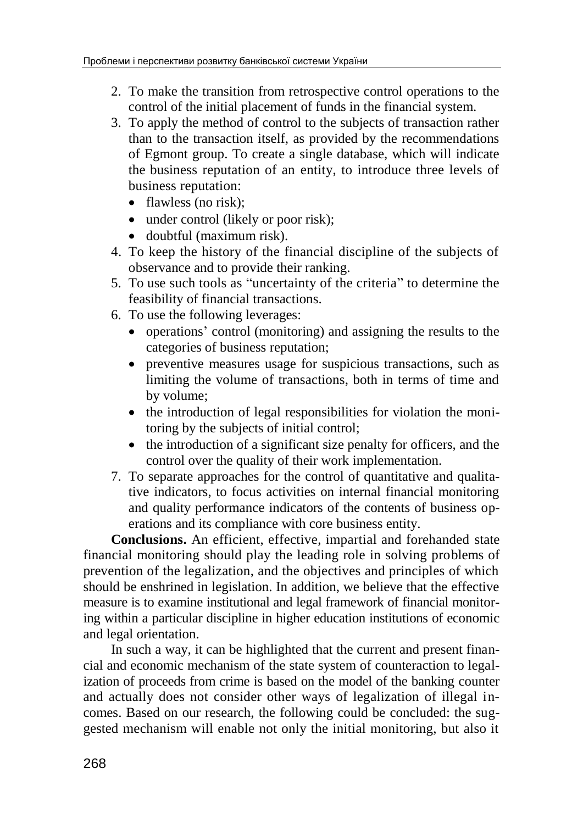- 2. To make the transition from retrospective control operations to the control of the initial placement of funds in the financial system.
- 3. To apply the method of control to the subjects of transaction rather than to the transaction itself, as provided by the recommendations of Egmont group. To create a single database, which will indicate the business reputation of an entity, to introduce three levels of business reputation:
	- flawless (no risk);
	- under control (likely or poor risk);
	- doubtful (maximum risk).
- 4. To keep the history of the financial discipline of the subjects of observance and to provide their ranking.
- 5. To use such tools as "uncertainty of the criteria" to determine the feasibility of financial transactions.
- 6. To use the following leverages:
	- operations' control (monitoring) and assigning the results to the categories of business reputation;
	- preventive measures usage for suspicious transactions, such as limiting the volume of transactions, both in terms of time and by volume;
	- the introduction of legal responsibilities for violation the monitoring by the subjects of initial control;
	- the introduction of a significant size penalty for officers, and the control over the quality of their work implementation.
- 7. To separate approaches for the control of quantitative and qualitative indicators, to focus activities on internal financial monitoring and quality performance indicators of the contents of business operations and its compliance with core business entity.

**Conclusions.** An efficient, effective, impartial and forehanded state financial monitoring should play the leading role in solving problems of prevention of the legalization, and the objectives and principles of which should be enshrined in legislation. In addition, we believe that the effective measure is to examine institutional and legal framework of financial monitoring within a particular discipline in higher education institutions of economic and legal orientation.

In such a way, it can be highlighted that the current and present financial and economic mechanism of the state system of counteraction to legalization of proceeds from crime is based on the model of the banking counter and actually does not consider other ways of legalization of illegal incomes. Based on our research, the following could be concluded: the suggested mechanism will enable not only the initial monitoring, but also it